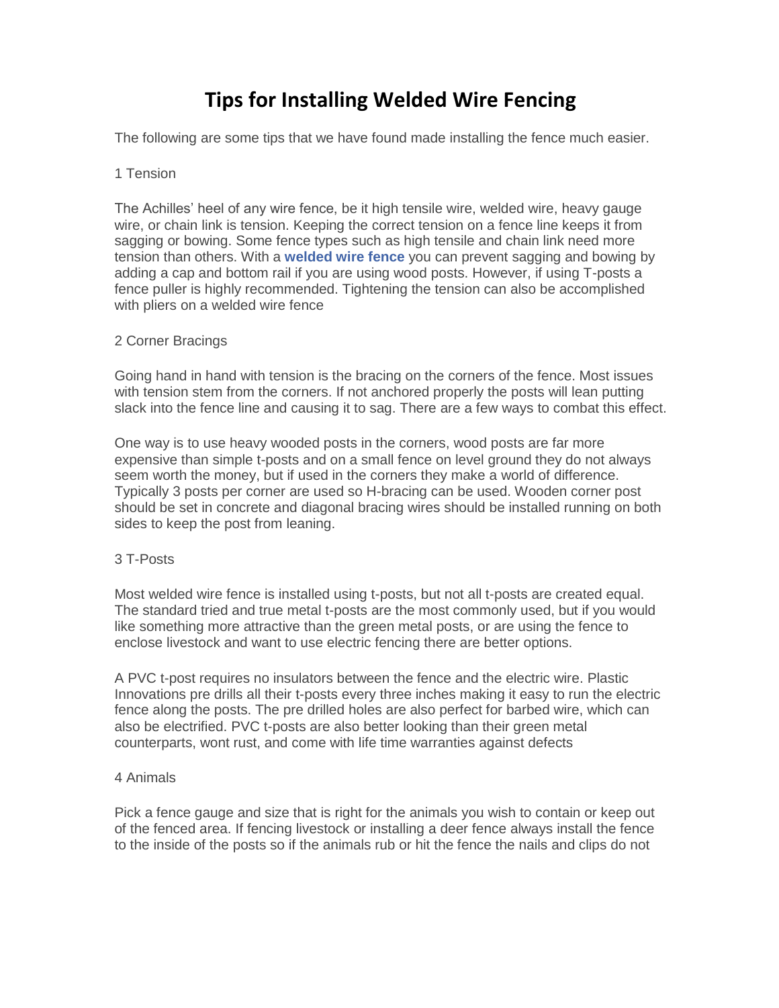# **Tips for Installing Welded Wire Fencing**

The following are some tips that we have found made installing the fence much easier.

#### 1 Tension

The Achilles' heel of any wire fence, be it high tensile wire, welded wire, heavy gauge wire, or chain link is tension. Keeping the correct tension on a fence line keeps it from sagging or bowing. Some fence types such as high tensile and chain link need more tension than others. With a **welded wire fence** you can prevent sagging and bowing by adding a cap and bottom rail if you are using wood posts. However, if using T-posts a fence puller is highly recommended. Tightening the tension can also be accomplished with pliers on a welded wire fence

## 2 Corner Bracings

Going hand in hand with tension is the bracing on the corners of the fence. Most issues with tension stem from the corners. If not anchored properly the posts will lean putting slack into the fence line and causing it to sag. There are a few ways to combat this effect.

One way is to use heavy wooded posts in the corners, wood posts are far more expensive than simple t-posts and on a small fence on level ground they do not always seem worth the money, but if used in the corners they make a world of difference. Typically 3 posts per corner are used so H-bracing can be used. Wooden corner post should be set in concrete and diagonal bracing wires should be installed running on both sides to keep the post from leaning.

## 3 T-Posts

Most welded wire fence is installed using t-posts, but not all t-posts are created equal. The standard tried and true metal t-posts are the most commonly used, but if you would like something more attractive than the green metal posts, or are using the fence to enclose livestock and want to use electric fencing there are better options.

A PVC t-post requires no insulators between the fence and the electric wire. Plastic Innovations pre drills all their t-posts every three inches making it easy to run the electric fence along the posts. The pre drilled holes are also perfect for barbed wire, which can also be electrified. PVC t-posts are also better looking than their green metal counterparts, wont rust, and come with life time warranties against defects

#### 4 Animals

Pick a fence gauge and size that is right for the animals you wish to contain or keep out of the fenced area. If fencing livestock or installing a deer fence always install the fence to the inside of the posts so if the animals rub or hit the fence the nails and clips do not